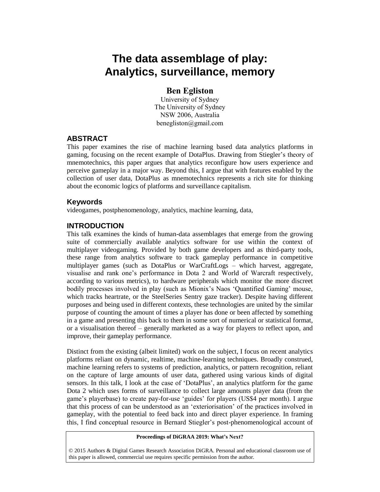# **The data assemblage of play: Analytics, surveillance, memory**

# **Ben Egliston**

University of Sydney The University of Sydney NSW 2006, Australia benegliston@gmail.com

#### **ABSTRACT**

This paper examines the rise of machine learning based data analytics platforms in gaming, focusing on the recent example of DotaPlus. Drawing from Stiegler's theory of mnemotechnics, this paper argues that analytics reconfigure how users experience and perceive gameplay in a major way. Beyond this, I argue that with features enabled by the collection of user data, DotaPlus as mnemotechnics represents a rich site for thinking about the economic logics of platforms and surveillance capitalism.

### **Keywords**

videogames, postphenomenology, analytics, machine learning, data,

# **INTRODUCTION**

This talk examines the kinds of human-data assemblages that emerge from the growing suite of commercially available analytics software for use within the context of multiplayer videogaming. Provided by both game developers and as third-party tools, these range from analytics software to track gameplay performance in competitive multiplayer games (such as DotaPlus or WarCraftLogs – which harvest, aggregate, visualise and rank one's performance in Dota 2 and World of Warcraft respectively, according to various metrics), to hardware peripherals which monitor the more discreet bodily processes involved in play (such as Mionix's Naos 'Quantified Gaming' mouse, which tracks heartrate, or the SteelSeries Sentry gaze tracker). Despite having different purposes and being used in different contexts, these technologies are united by the similar purpose of counting the amount of times a player has done or been affected by something in a game and presenting this back to them in some sort of numerical or statistical format, or a visualisation thereof – generally marketed as a way for players to reflect upon, and improve, their gameplay performance.

Distinct from the existing (albeit limited) work on the subject, I focus on recent analytics platforms reliant on dynamic, realtime, machine-learning techniques. Broadly construed, machine learning refers to systems of prediction, analytics, or pattern recognition, reliant on the capture of large amounts of user data, gathered using various kinds of digital sensors. In this talk, I look at the case of 'DotaPlus', an analytics platform for the game Dota 2 which uses forms of surveillance to collect large amounts player data (from the game's playerbase) to create pay-for-use 'guides' for players (US\$4 per month). I argue that this process of can be understood as an 'exteriorisation' of the practices involved in gameplay, with the potential to feed back into and direct player experience. In framing this, I find conceptual resource in Bernard Stiegler's post-phenomenological account of

#### **Proceedings of DiGRAA 2019: What's Next?**

© 2015 Authors & Digital Games Research Association DiGRA. Personal and educational classroom use of this paper is allowed, commercial use requires specific permission from the author.